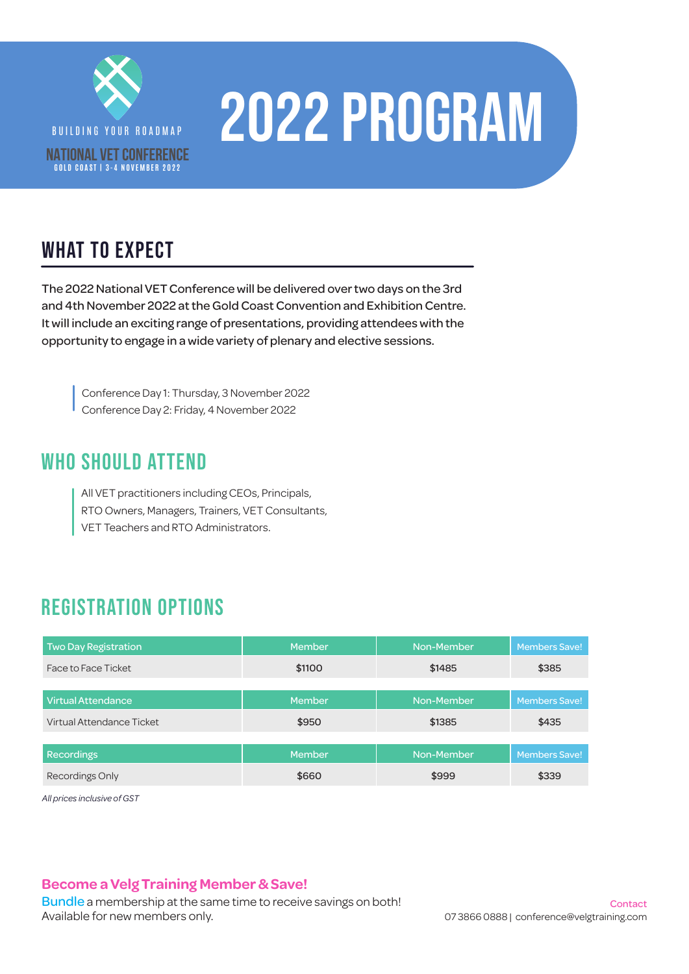

# BUILDING YOUR ALLE 2022 PROGRAM

### WHAT TO EXPECT

The 2022 National VET Conference will be delivered over two days on the 3rd and 4th November 2022 at the Gold Coast Convention and Exhibition Centre. It will include an exciting range of presentations, providing attendees with the opportunity to engage in a wide variety of plenary and elective sessions.

Conference Day 1: Thursday, 3 November 2022 Conference Day 2: Friday, 4 November 2022

#### WHO SHOULD ATTEND

All VET practitioners including CEOs, Principals, RTO Owners, Managers, Trainers, VET Consultants, VET Teachers and RTO Administrators.

#### REGISTRATION OPTIONS

| <b>Two Day Registration</b> | <b>Member</b> | Non-Member | <b>Members Save!</b> |
|-----------------------------|---------------|------------|----------------------|
| Face to Face Ticket         | \$1100        | \$1485     | \$385                |
|                             |               |            |                      |
| <b>Virtual Attendance</b>   | <b>Member</b> | Non-Member | Members Save!        |
| Virtual Attendance Ticket   | \$950         | \$1385     | \$435                |
|                             |               |            |                      |
| <b>Recordings</b>           | <b>Member</b> | Non-Member | <b>Members Save!</b> |
| Recordings Only             | \$660         | \$999      | \$339                |

*All prices inclusive of GST*

#### **Become a Velg Training Member & Save!**

[Bundle](https://www.velgtraining.com/nvc#registration) a membership at the same time to receive savings on both! Available for new members only.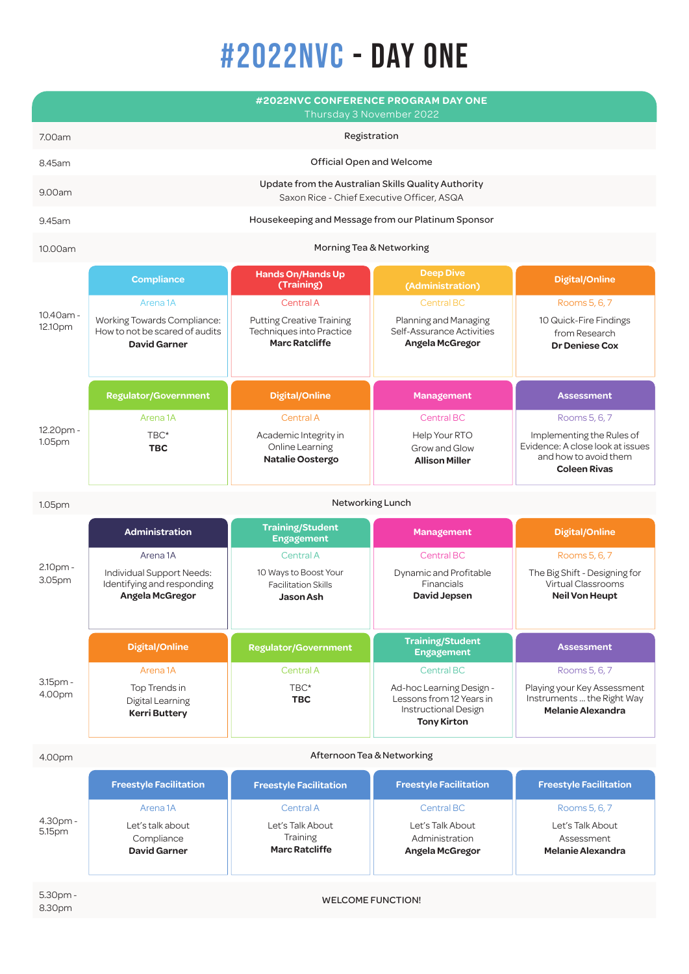## #2022nvc - day one

|                      | #2022NVC CONFERENCE PROGRAM DAY ONE<br>Thursday 3 November 2022                                             |                                                                                                    |                                                                                                    |                                                                                                               |  |  |  |
|----------------------|-------------------------------------------------------------------------------------------------------------|----------------------------------------------------------------------------------------------------|----------------------------------------------------------------------------------------------------|---------------------------------------------------------------------------------------------------------------|--|--|--|
| 7.00am               | Registration                                                                                                |                                                                                                    |                                                                                                    |                                                                                                               |  |  |  |
| 8.45am               | Official Open and Welcome                                                                                   |                                                                                                    |                                                                                                    |                                                                                                               |  |  |  |
| 9.00am               | Update from the Australian Skills Quality Authority<br>Saxon Rice - Chief Executive Officer, ASQA           |                                                                                                    |                                                                                                    |                                                                                                               |  |  |  |
| 9.45am               | Housekeeping and Message from our Platinum Sponsor                                                          |                                                                                                    |                                                                                                    |                                                                                                               |  |  |  |
| 10.00am              | Morning Tea & Networking                                                                                    |                                                                                                    |                                                                                                    |                                                                                                               |  |  |  |
| 10.40am -<br>12.10pm | <b>Compliance</b>                                                                                           | Hands On/Hands Up<br>(Training)                                                                    | <b>Deep Dive</b><br>(Administration)                                                               | <b>Digital/Online</b>                                                                                         |  |  |  |
|                      | Arena <sub>1A</sub><br>Working Towards Compliance:<br>How to not be scared of audits<br><b>David Garner</b> | Central A<br><b>Putting Creative Training</b><br>Techniques into Practice<br><b>Marc Ratcliffe</b> | <b>Central BC</b><br>Planning and Managing<br>Self-Assurance Activities<br>Angela McGregor         | Rooms 5, 6, 7<br>10 Quick-Fire Findings<br>from Research<br><b>Dr Deniese Cox</b>                             |  |  |  |
|                      | <b>Regulator/Government</b>                                                                                 | <b>Digital/Online</b>                                                                              | <b>Management</b>                                                                                  | <b>Assessment</b>                                                                                             |  |  |  |
|                      | Arena <sub>1</sub> A                                                                                        | Central A                                                                                          | <b>Central BC</b>                                                                                  | Rooms 5, 6, 7                                                                                                 |  |  |  |
| 12.20pm -<br>1.05pm  | TBC*<br><b>TBC</b>                                                                                          | Academic Integrity in<br>Online Learning<br><b>Natalie Oostergo</b>                                | Help Your RTO<br>Grow and Glow<br><b>Allison Miller</b>                                            | Implementing the Rules of<br>Evidence: A close look at issues<br>and how to avoid them<br><b>Coleen Rivas</b> |  |  |  |
| 1.05pm               | Networking Lunch                                                                                            |                                                                                                    |                                                                                                    |                                                                                                               |  |  |  |
|                      | <b>Administration</b>                                                                                       | <b>Training/Student</b><br><b>Engagement</b>                                                       | <b>Management</b>                                                                                  | <b>Digital/Online</b>                                                                                         |  |  |  |
| 2.10pm -<br>3.05pm   | Arena <sub>1</sub> A<br>Individual Support Needs:<br>Identifying and responding<br>Angela McGregor          | <b>Central A</b><br>10 Ways to Boost Your<br><b>Facilitation Skills</b><br><b>Jason Ash</b>        | <b>Central BC</b><br>Dynamic and Profitable<br>Financials<br><b>David Jepsen</b>                   | Rooms 5, 6, 7<br>The Big Shift - Designing for<br>Virtual Classrooms<br><b>Neil Von Heupt</b>                 |  |  |  |
|                      | <b>Digital/Online</b>                                                                                       | <b>Regulator/Government</b>                                                                        | <b>Training/Student</b><br><b>Engagement</b>                                                       | <b>Assessment</b>                                                                                             |  |  |  |
|                      | Arena <sub>1</sub> A                                                                                        | Central A                                                                                          | <b>Central BC</b>                                                                                  | Rooms 5, 6, 7                                                                                                 |  |  |  |
| 3.15pm -<br>4.00pm   | Top Trends in<br>Digital Learning<br><b>Kerri Buttery</b>                                                   | TBC*<br><b>TBC</b>                                                                                 | Ad-hoc Learning Design -<br>Lessons from 12 Years in<br>Instructional Design<br><b>Tony Kirton</b> | Playing your Key Assessment<br>Instruments  the Right Way<br><b>Melanie Alexandra</b>                         |  |  |  |
| 4.00pm               | Afternoon Tea & Networking                                                                                  |                                                                                                    |                                                                                                    |                                                                                                               |  |  |  |
|                      | <b>Freestyle Facilitation</b>                                                                               | <b>Freestyle Facilitation</b>                                                                      | <b>Freestyle Facilitation</b>                                                                      | <b>Freestyle Facilitation</b>                                                                                 |  |  |  |
|                      | Arena <sub>1</sub> A                                                                                        | Central A                                                                                          | <b>Central BC</b>                                                                                  | Rooms 5, 6, 7                                                                                                 |  |  |  |
| 4.30pm -<br>5.15pm   | Let's talk about<br>Compliance<br><b>David Garner</b>                                                       | Let's Talk About<br>Training<br><b>Marc Ratcliffe</b>                                              | Let's Talk About<br>Administration<br>Angela McGregor                                              | Let's Talk About<br>Assessment<br><b>Melanie Alexandra</b>                                                    |  |  |  |
| 5.30pm -<br>8.30pm   | <b>WELCOME FUNCTION!</b>                                                                                    |                                                                                                    |                                                                                                    |                                                                                                               |  |  |  |